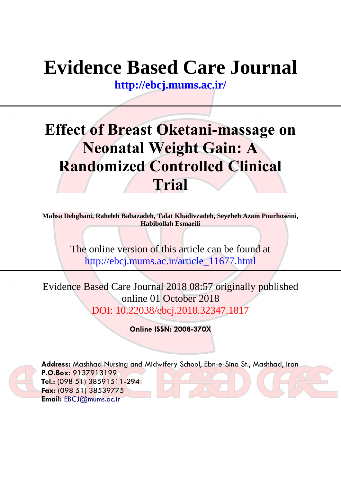# **Evidence Based Care Journal**

**<http://ebcj.mums.ac.ir/>**

## **Effect of Breast Oketani-massage on Neonatal Weight Gain: A Randomized Controlled Clinical Trial**

**Mahsa Dehghani, Raheleh Babazadeh, Talat Khadivzadeh, Seyeheh Azam Pourhoseini, Habibollah Esmaeili** 

> The online version of this article can be found at http://ebcj.mums.ac.ir/article\_11677.html

Evidence Based Care Journal 2018 08:57 originally published online 01 October 2018 DOI: 10.22038/ebcj.2018.32347.1817

**Online ISSN: 2008-370X**



**Address:** Mashhad Nursing and Midwifery School, Ebn-e-Sina St., Mashhad, Iran **P.O.Box:** 9137913199 **Tel.:** (098 51) 38591511-294 **Fax:** (098 51) 38539775 **Email:** [EBCJ@mums.ac.ir](mailto:EBCJ@mums.ac.ir)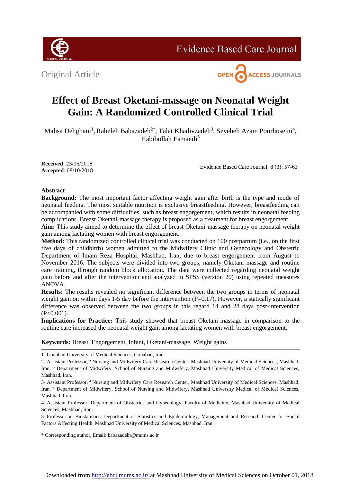

**Evidence Based Care Journal** 





### **Effect of Breast Oketani-massage on Neonatal Weight Gain: A Randomized Controlled Clinical Trial**

Mahsa Dehghani<sup>1</sup>, Raheleh Babazadeh<sup>2\*</sup>, Talat Khadivzadeh<sup>3</sup>, Seyeheh Azam Pourhoseini<sup>4</sup>, Habibollah Esmaeili<sup>5</sup>

**Received**: 23/06/2018 **Accepted**: 08/10/2018

Evidence Based Care Journal, 8 (3): 57-63

#### **Abstract**

**Background:** The most important factor affecting weight gain after birth is the type and mode of neonatal feeding. The most suitable nutrition is exclusive breastfeeding. However, breastfeeding can be accompanied with some difficulties, such as breast engorgement, which results in neonatal feeding complications. Breast Oketani-massage therapy is proposed as a treatment for breast engorgement.

**Aim:** This study aimed to determine the effect of breast Oketani-massage therapy on neonatal weight gain among lactating women with breast engorgement.

**Method:** This randomized controlled clinical trial was conducted on 100 postpartum (i.e., on the first five days of childbirth) women admitted to the Midwifery Clinic and Gynecology and Obstetric Department of Imam Reza Hospital, Mashhad, Iran, due to breast engorgement from August to November 2016. The subjects were divided into two groups, namely Oketani massage and routine care training, through random block allocation. The data were collected regarding neonatal weight gain before and after the intervention and analyzed in SPSS (version 20) using repeated measures ANOVA.

**Results:** The results revealed no significant difference between the two groups in terms of neonatal weight gain on within days 1-5 day before the intervention (P=0.17). However, a statically significant difference was observed between the two groups in this regard 14 and 28 days post-intervention  $(P<0.001)$ .

**Implications for Practice:** This study showed that breast Oketani-massage in comparison to the routine care increased the neonatal weight gain among lactating women with breast engorgement.

**Keywords:** Breast, Engorgement, Infant, Oketani-massage, Weight gains

4- Assistant Professor, Department of Obstetrics and Gynecology, Faculty of Medicine, Mashhad University of Medical Sciences, Mashhad, Iran.

5- Professor in Biostatistics, Department of Statistics and Epidemiology, Management and Research Center for Social Factors Affecting Health, Mashhad University of Medical Sciences, Mashhad, Iran

\* Corresponding author, Email: [babazadehr@mums.ac.ir](mailto:babazadehr@mums.ac.ir)

<sup>1-</sup> Gonabad University of Medical Sciences, Gonabad, Iran

<sup>2-</sup> Assistant Professor, <sup>a</sup> Nursing and Midwifery Care Research Center, Mashhad University of Medical Sciences, Mashhad, Iran. **b** Department of Midwifery, School of Nursing and Midwifery, Mashhad University Medical of Medical Sciences, Mashhad, Iran.

<sup>3-</sup> Assistant Professor, <sup>a</sup> Nursing and Midwifery Care Research Center, Mashhad University of Medical Sciences, Mashhad, Iran. **b** Department of Midwifery, School of Nursing and Midwifery, Mashhad University Medical of Medical Sciences, Mashhad, Iran.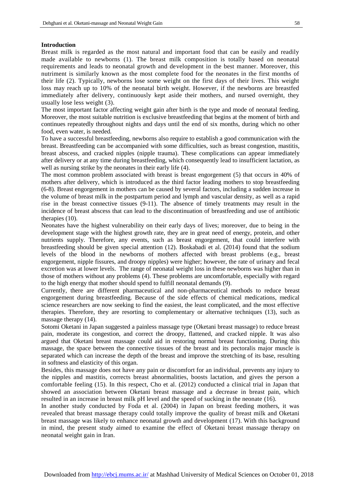#### **Introduction**

Breast milk is regarded as the most natural and important food that can be easily and readily made available to newborns [\(1\)](#page-7-0). The breast milk composition is totally based on neonatal requirements and leads to neonatal growth and development in the best manner. Moreover, this nutriment is similarly known as the most complete food for the neonates in the first months of their life [\(2\)](#page-7-1). Typically, newborns lose some weight on the first days of their lives. This weight loss may reach up to 10% of the neonatal birth weight. However, if the newborns are breastfed immediately after delivery, continuously kept aside their mothers, and nursed overnight, they usually lose less weight [\(3\)](#page-7-2).

The most important factor affecting weight gain after birth is the type and mode of neonatal feeding. Moreover, the most suitable nutrition is exclusive breastfeeding that begins at the moment of birth and continues repeatedly throughout nights and days until the end of six months, during which no other food, even water, is needed.

To have a successful breastfeeding, newborns also require to establish a good communication with the breast. Breastfeeding can be accompanied with some difficulties, such as breast congestion, mastitis, breast abscess, and cracked nipples (nipple trauma). These complications can appear immediately after delivery or at any time during breastfeeding, which consequently lead to insufficient lactation, as well as nursing strike by the neonates in their early life [\(4\)](#page-7-3).

The most common problem associated with breast is breast engorgement [\(5\)](#page-7-4) that occurs in 40% of mothers after delivery, which is introduced as the third factor leading mothers to stop breastfeeding [\(6-8\)](#page-7-5). Breast engorgement in mothers can be caused by several factors, including a sudden increase in the volume of breast milk in the postpartum period and lymph and vascular density, as well as a rapid rise in the breast connective tissues [\(9-11\)](#page-7-6). The absence of timely treatments may result in the incidence of breast abscess that can lead to the discontinuation of breastfeeding and use of antibiotic therapies [\(10\)](#page-7-7).

Neonates have the highest vulnerability on their early days of lives; moreover, due to being in the development stage with the highest growth rate, they are in great need of energy, protein, and other nutrients supply. Therefore, any events, such as breast engorgement, that could interfere with breastfeeding should be given special attention [\(12\)](#page-7-8). Boskabadi et al. (2014) found that the sodium levels of the blood in the newborns of mothers affected with breast problems (e.g., breast engorgement, nipple fissures, and droopy nipples) were higher; however, the rate of urinary and fecal excretion was at lower levels. The range of neonatal weight loss in these newborns was higher than in those of mothers without any problems [\(4\)](#page-7-3). These problems are uncomfortable, especially with regard to the high energy that mother should spend to fulfill neonatal demands [\(9\)](#page-7-6).

Currently, there are different pharmaceutical and non-pharmaceutical methods to reduce breast engorgement during breastfeeding. Because of the side effects of chemical medications, medical science researchers are now seeking to find the easiest, the least complicated, and the most effective therapies. Therefore, they are resorting to complementary or alternative techniques [\(13\)](#page-7-9), such as massage therapy [\(14\)](#page-7-10).

Sotomi Oketani in Japan suggested a painless massage type (Oketani breast massage) to reduce breast pain, moderate its congestion, and correct the droopy, flattened, and cracked nipple. It was also argued that Oketani breast massage could aid in restoring normal breast functioning. During this massage, the space between the connective tissues of the breast and its pectoralis major muscle is separated which can increase the depth of the breast and improve the stretching of its base, resulting in softness and elasticity of this organ.

Besides, this massage does not have any pain or discomfort for an individual, prevents any injury to the nipples and mastitis, corrects breast abnormalities, boosts lactation, and gives the person a comfortable feeling [\(15\)](#page-7-11). In this respect, Cho et al. (2012) conducted a clinical trial in Japan that showed an association between Oketani breast massage and a decrease in breast pain, which resulted in an increase in breast milk pH level and the speed of sucking in the neonate [\(16\)](#page-7-12).

In another study conducted by Foda et al. (2004) in Japan on breast feeding mothers, it was revealed that breast massage therapy could totally improve the quality of breast milk and Oketani breast massage was likely to enhance neonatal growth and development [\(17\)](#page-7-13). With this background in mind, the present study aimed to examine the effect of Oketani breast massage therapy on neonatal weight gain in Iran.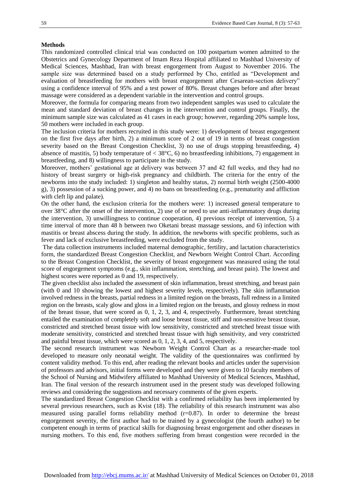#### **Methods**

This randomized controlled clinical trial was conducted on 100 postpartum women admitted to the Obstetrics and Gynecology Department of Imam Reza Hospital affiliated to Mashhad University of Medical Sciences, Mashhad, Iran with breast engorgement from August to November 2016. The sample size was determined based on a study performed by Cho, entitled as "Development and evaluation of breastfeeding for mothers with breast engorgement after Cesarean-section delivery" using a confidence interval of 95% and a test power of 80%. Breast changes before and after breast massage were considered as a dependent variable in the intervention and control groups.

Moreover, the formula for comparing means from two independent samples was used to calculate the mean and standard deviation of breast changes in the intervention and control groups. Finally, the minimum sample size was calculated as 41 cases in each group; however, regarding 20% sample loss, 50 mothers were included in each group.

The inclusion criteria for mothers recruited in this study were: 1) development of breast engorgement on the first five days after birth, 2) a minimum score of 2 out of 19 in terms of breast congestion severity based on the Breast Congestion Checklist, 3) no use of drugs stopping breastfeeding, 4) absence of mastitis, 5) body temperature of  $<$  38 $^{\circ}$ C, 6) no breastfeeding inhibitions, 7) engagement in breastfeeding, and 8) willingness to participate in the study.

Moreover, mothers' gestational age at delivery was between 37 and 42 full weeks, and they had no history of breast surgery or high-risk pregnancy and childbirth. The criteria for the entry of the newborns into the study included: 1) singleton and healthy status, 2) normal birth weight (2500-4000 g), 3) possession of a sucking power, and 4) no bans on breastfeeding (e.g., prematurity and affliction with cleft lip and palate).

On the other hand, the exclusion criteria for the mothers were: 1) increased general temperature to over 38°C after the onset of the intervention, 2) use of or need to use anti-inflammatory drugs during the intervention, 3) unwillingness to continue cooperation, 4) previous receipt of intervention, 5) a time interval of more than 48 h between two Oketani breast massage sessions, and 6) infection with mastitis or breast abscess during the study. In addition, the newborns with specific problems, such as fever and lack of exclusive breastfeeding, were excluded from the study.

The data collection instruments included maternal demographic, fertility, and lactation characteristics form, the standardized Breast Congestion Checklist, and Newborn Weight Control Chart. According to the Breast Congestion Checklist, the severity of breast engorgement was measured using the total score of engorgement symptoms (e.g., skin inflammation, stretching, and breast pain). The lowest and highest scores were reported as 0 and 19, respectively.

The given checklist also included the assessment of skin inflammation, breast stretching, and breast pain (with 0 and 10 showing the lowest and highest severity levels, respectively). The skin inflammation involved redness in the breasts, partial redness in a limited region on the breasts, full redness in a limited region on the breasts, scaly glow and gloss in a limited region on the breasts, and glossy redness in most of the breast tissue, that were scored as 0, 1, 2, 3, and 4, respectively. Furthermore, breast stretching entailed the examination of completely soft and loose breast tissue, stiff and non-sensitive breast tissue, constricted and stretched breast tissue with low sensitivity, constricted and stretched breast tissue with moderate sensitivity, constricted and stretched breast tissue with high sensitivity, and very constricted and painful breast tissue, which were scored as 0, 1, 2, 3, 4, and 5, respectively.

The second research instrument was Newborn Weight Control Chart as a researcher-made tool developed to measure only neonatal weight. The validity of the questionnaires was confirmed by content validity method. To this end, after reading the relevant books and articles under the supervision of professors and advisors, initial forms were developed and they were given to 10 faculty members of the School of Nursing and Midwifery affiliated to Mashhad University of Medical Sciences, Mashhad, Iran. The final version of the research instrument used in the present study was developed following reviews and considering the suggestions and necessary comments of the given experts.

The standardized Breast Congestion Checklist with a confirmed reliability has been implemented by several previous researchers, such as Kvist (18). The reliability of this research instrument was also measured using parallel forms reliability method (r=0.87). In order to determine the breast engorgement severity, the first author had to be trained by a gynecologist (the fourth author) to be competent enough in terms of practical skills for diagnosing breast engorgement and other diseases in nursing mothers. To this end, five mothers suffering from breast congestion were recorded in the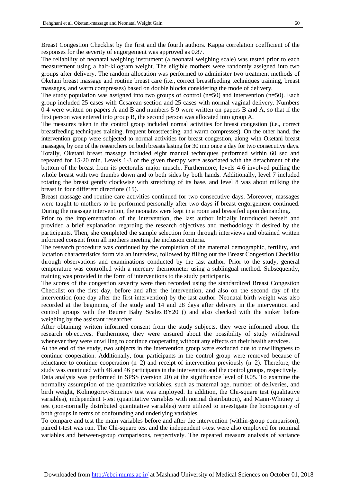Breast Congestion Checklist by the first and the fourth authors. Kappa correlation coefficient of the responses for the severity of engorgement was approved as 0.87.

The reliability of neonatal weighing instrument (a neonatal weighing scale) was tested prior to each measurement using a half-kilogram weight. The eligible mothers were randomly assigned into two groups after delivery. The random allocation was performed to administer two treatment methods of Oketani breast massage and routine breast care (i.e., correct breastfeeding techniques training, breast massages, and warm compresses) based on double blocks considering the mode of delivery.

The study population was assigned into two groups of control  $(n=50)$  and intervention  $(n=50)$ . Each group included 25 cases with Cesarean-section and 25 cases with normal vaginal delivery. Numbers 0-4 were written on papers A and B and numbers 5-9 were written on papers B and A, so that if the first person was entered into group B, the second person was allocated into group A.

The measures taken in the control group included normal activities for breast congestion (i.e., correct breastfeeding techniques training, frequent breastfeeding, and warm compresses). On the other hand, the intervention group were subjected to normal activities for breast congestion, along with Oketani breast massages, by one of the researchers on both breasts lasting for 30 min once a day for two consecutive days. Totally, Oketani breast massage included eight manual techniques performed within 60 sec and repeated for 15-20 min. Levels 1-3 of the given therapy were associated with the detachment of the bottom of the breast from its pectoralis major muscle. Furthermore, levels 4-6 involved pulling the whole breast with two thumbs down and to both sides by both hands. Additionally, level 7 included rotating the breast gently clockwise with stretching of its base, and level 8 was about milking the breast in four different directions [\(15\)](#page-7-11).

Breast massage and routine care activities continued for two consecutive days. Moreover, massages were taught to mothers to be performed personally after two days if breast engorgement continued. During the massage intervention, the neonates were kept in a room and breastfed upon demanding.

Prior to the implementation of the intervention, the last author initially introduced herself and provided a brief explanation regarding the research objectives and methodology if desired by the participants. Then, she completed the sample selection form through interviews and obtained written informed consent from all mothers meeting the inclusion criteria.

The research procedure was continued by the completion of the maternal demographic, fertility, and lactation characteristics form via an interview, followed by filling out the Breast Congestion Checklist through observations and examinations conducted by the last author. Prior to the study, general temperature was controlled with a mercury thermometer using a sublingual method. Subsequently, training was provided in the form of interventions to the study participants.

The scores of the congestion severity were then recorded using the standardized Breast Congestion Checklist on the first day, before and after the intervention, and also on the second day of the intervention (one day after the first intervention) by the last author. Neonatal birth weight was also recorded at the beginning of the study and 14 and 28 days after delivery in the intervention and control groups with the Beurer Baby Scales BY20 () and also checked with the sinker before weighing by the assistant researcher.

After obtaining written informed consent from the study subjects, they were informed about the research objectives. Furthermore, they were ensured about the possibility of study withdrawal whenever they were unwilling to continue cooperating without any effects on their health services.

At the end of the study, two subjects in the intervention group were excluded due to unwillingness to continue cooperation. Additionally, four participants in the control group were removed because of reluctance to continue cooperation  $(n=2)$  and receipt of intervention previously  $(n=2)$ . Therefore, the study was continued with 48 and 46 participants in the intervention and the control groups, respectively.

Data analysis was performed in SPSS (version 20) at the significance level of 0.05. To examine the normality assumption of the quantitative variables, such as maternal age, number of deliveries, and birth weight, Kolmogorov-Smirnov test was employed. In addition, the Chi-square test (qualitative variables), independent t-test (quantitative variables with normal distribution), and Mann-Whitney U test (non-normally distributed quantitative variables) were utilized to investigate the homogeneity of both groups in terms of confounding and underlying variables.

To compare and test the main variables before and after the intervention (within-group comparison), paired t-test was run. The Chi-square test and the independent t-test were also employed for nominal variables and between-group comparisons, respectively. The repeated measure analysis of variance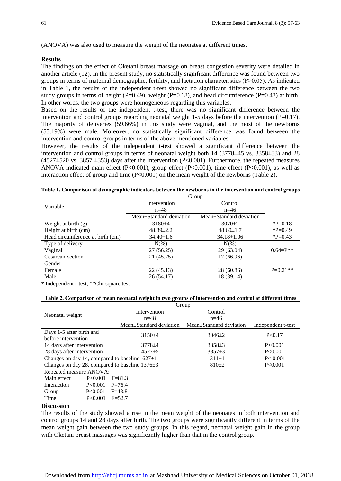(ANOVA) was also used to measure the weight of the neonates at different times.

#### **Results**

The findings on the effect of Oketani breast massage on breast congestion severity were detailed in another article [\(12\)](#page-7-8). In the present study, no statistically significant difference was found between two groups in terms of maternal demographic, fertility, and lactation characteristics (P˃0.05). As indicated in Table 1, the results of the independent t-test showed no significant difference between the two study groups in terms of height (P=0.49), weight (P=0.18), and head circumference (P=0.43) at birth. In other words, the two groups were homogeneous regarding this variables.

Based on the results of the independent t-test, there was no significant difference between the intervention and control groups regarding neonatal weight 1-5 days before the intervention (P=0.17). The majority of deliveries (59.66%) in this study were vaginal, and the most of the newborns (53.19%) were male. Moreover, no statistically significant difference was found between the intervention and control groups in terms of the above-mentioned variables.

However, the results of the independent t-test showed a significant difference between the intervention and control groups in terms of neonatal weight both 14 (3778±45 vs. 3358±33) and 28  $(4527\pm520 \text{ vs. } 3857 \pm 353)$  days after the intervention (P<0.001). Furthermore, the repeated measures ANOVA indicated main effect (P<0.001), group effect (P<0.001), time effect (P<0.001), as well as interaction effect of group and time (P<0.001) on the mean weight of the newborns (Table 2).

| Table 1. Comparison of demographic indicators between the newborns in the intervention and control groups |
|-----------------------------------------------------------------------------------------------------------|
|-----------------------------------------------------------------------------------------------------------|

|                                  | Group                   |                         |              |
|----------------------------------|-------------------------|-------------------------|--------------|
| Variable                         | Intervention            | Control                 |              |
|                                  | $n = 48$                | $n=46$                  |              |
|                                  | Mean+Standard deviation | Mean±Standard deviation |              |
| Weight at birth $(g)$            | $3180 + 4$              | $3070+2$                | $P=0.18$     |
| Height at birth (cm)             | $48.89 \pm 2.2$         | $48.60 \pm 1.7$         | $P=0.49$     |
| Head circumference at birth (cm) | $34.40 \pm 1.6$         | $34.18 \pm 1.06$        | $P=0.43$     |
| Type of delivery                 | $N(\%)$                 | $N(\%)$                 |              |
| Vaginal                          | 27(56.25)               | 29(63.04)               | $0.64 = P^*$ |
| Cesarean-section                 | 21 (45.75)              | 17 (66.96)              |              |
| Gender                           |                         |                         |              |
| Female                           | 22(45.13)               | 28 (60.86)              | $P=0.21**$   |
| Male                             | 26 (54.17)              | 18 (39.14)              |              |

\* Independent t-test, \*\*Chi-square test

#### **Table 2. Comparison of mean neonatal weight in two groups of intervention and control at different times**

|                                                      | Group                   |                         |                    |  |
|------------------------------------------------------|-------------------------|-------------------------|--------------------|--|
|                                                      | Intervention            | Control                 |                    |  |
| Neonatal weight                                      | $n = 48$                | $n=46$                  |                    |  |
|                                                      | Mean+Standard deviation | Mean±Standard deviation | Independent t-test |  |
| Days 1-5 after birth and                             | $3150+4$                | $3046\pm2$              | P < 0.17           |  |
| before intervention                                  |                         |                         |                    |  |
| 14 days after intervention                           | $3778 \pm 4$            | $3358 \pm 3$            | P < 0.001          |  |
| 28 days after intervention                           | $4527 \pm 5$            | $3857\pm3$              | P<0.001            |  |
| Changes on day 14, compared to baseline $627 \pm 1$  |                         | $311 \pm 1$             | P < 0.001          |  |
| Changes on day 28, compared to baseline $1376 \pm 3$ |                         | $810+2$                 | P<0.001            |  |
| Repeated measure ANOVA:                              |                         |                         |                    |  |
| Main effect<br>P<0.001                               | $F = 81.3$              |                         |                    |  |
| Interaction<br>P<0.001                               | $F = 76.4$              |                         |                    |  |
| P<0.001<br>Group                                     | $F = 43.8$              |                         |                    |  |
| Time<br>P < 0.001                                    | $F = 52.7$              |                         |                    |  |

#### **Discussion**

The results of the study showed a rise in the mean weight of the neonates in both intervention and control groups 14 and 28 days after birth. The two groups were significantly different in terms of the mean weight gain between the two study groups. In this regard, neonatal weight gain in the group with Oketani breast massages was significantly higher than that in the control group.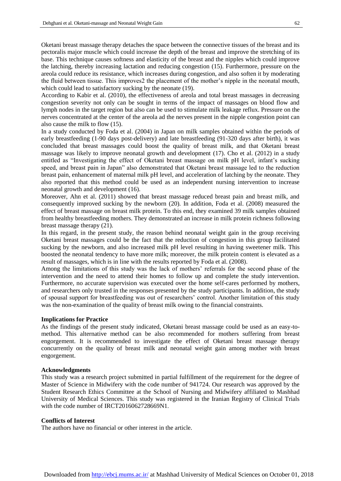Oketani breast massage therapy detaches the space between the connective tissues of the breast and its pectoralis major muscle which could increase the depth of the breast and improve the stretching of its base. This technique causes softness and elasticity of the breast and the nipples which could improve the latching, thereby increasing lactation and reducing congestion [\(15\)](#page-7-11). Furthermore, pressure on the areola could reduce its resistance, which increases during congestion, and also soften it by moderating the fluid between tissue. This improves2 the placement of the mother's nipple in the neonatal mouth, which could lead to satisfactory sucking by the neonate [\(19\)](#page-7-14).

According to Kabir et al. (2010), the effectiveness of areola and total breast massages in decreasing congestion severity not only can be sought in terms of the impact of massages on blood flow and lymph nodes in the target region but also can be used to stimulate milk leakage reflux. Pressure on the nerves concentrated at the center of the areola ad the nerves present in the nipple congestion point can also cause the milk to flow [\(15\)](#page-7-11).

In a study conducted by Foda et al. (2004) in Japan on milk samples obtained within the periods of early breastfeeding (1-90 days post-delivery) and late breastfeeding (91-320 days after birth), it was concluded that breast massages could boost the quality of breast milk, and that Oketani breast massage was likely to improve neonatal growth and development [\(17\)](#page-7-13). Cho et al. (2012) in a study entitled as "Investigating the effect of Oketani breast massage on milk pH level, infant's sucking speed, and breast pain in Japan" also demonstrated that Oketani breast massage led to the reduction breast pain, enhancement of maternal milk pH level, and acceleration of latching by the neonate. They also reported that this method could be used as an independent nursing intervention to increase neonatal growth and development [\(16\)](#page-7-12).

Moreover, Ahn et al. (2011) showed that breast massage reduced breast pain and breast milk, and consequently improved sucking by the newborn [\(20\)](#page-7-15). In addition, Foda et al. (2008) measured the effect of breast massage on breast milk protein. To this end, they examined 39 milk samples obtained from healthy breastfeeding mothers. They demonstrated an increase in milk protein richness following breast massage therapy [\(21\)](#page-7-16).

In this regard, in the present study, the reason behind neonatal weight gain in the group receiving Oketani breast massages could be the fact that the reduction of congestion in this group facilitated sucking by the newborn, and also increased milk pH level resulting in having sweetener milk. This boosted the neonatal tendency to have more milk; moreover, the milk protein content is elevated as a result of massages, which is in line with the results reported by Foda et al. (2008).

Among the limitations of this study was the lack of mothers' referrals for the second phase of the intervention and the need to attend their homes to follow up and complete the study intervention. Furthermore, no accurate supervision was executed over the home self-cares performed by mothers, and researchers only trusted in the responses presented by the study participants. In addition, the study of spousal support for breastfeeding was out of researchers' control. Another limitation of this study was the non-examination of the quality of breast milk owing to the financial constraints.

#### **Implications for Practice**

As the findings of the present study indicated, Oketani breast massage could be used as an easy-tomethod. This alternative method can be also recommended for mothers suffering from breast engorgement. It is recommended to investigate the effect of Oketani breast massage therapy concurrently on the quality of breast milk and neonatal weight gain among mother with breast engorgement.

#### **Acknowledgments**

This study was a research project submitted in partial fulfillment of the requirement for the degree of Master of Science in Midwifery with the code number of 941724. Our research was approved by the Student Research Ethics Committee at the School of Nursing and Midwifery affiliated to Mashhad University of Medical Sciences. This study was registered in the Iranian Registry of Clinical Trials with the code number of IRCT2016062728669N1.

#### **Conflicts of Interest**

The authors have no financial or other interest in the article.